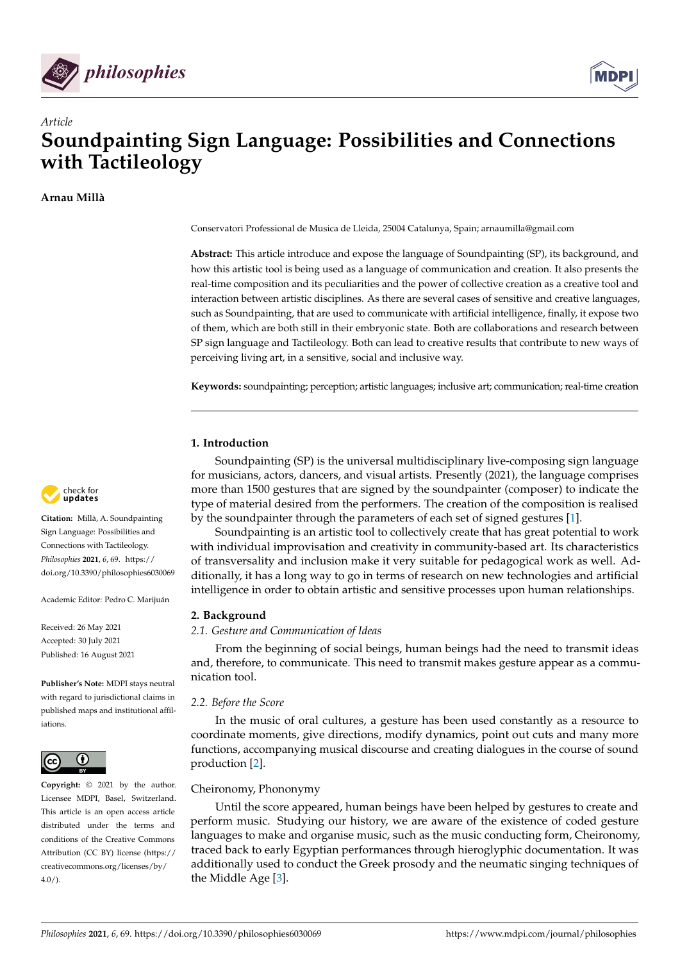



# *Article* **Soundpainting Sign Language: Possibilities and Connections with Tactileology**

**Arnau Millà**

Conservatori Professional de Musica de Lleida, 25004 Catalunya, Spain; arnaumilla@gmail.com

**Abstract:** This article introduce and expose the language of Soundpainting (SP), its background, and how this artistic tool is being used as a language of communication and creation. It also presents the real-time composition and its peculiarities and the power of collective creation as a creative tool and interaction between artistic disciplines. As there are several cases of sensitive and creative languages, such as Soundpainting, that are used to communicate with artificial intelligence, finally, it expose two of them, which are both still in their embryonic state. Both are collaborations and research between SP sign language and Tactileology. Both can lead to creative results that contribute to new ways of perceiving living art, in a sensitive, social and inclusive way.

**Keywords:** soundpainting; perception; artistic languages; inclusive art; communication; real-time creation

# **1. Introduction**

Soundpainting (SP) is the universal multidisciplinary live-composing sign language for musicians, actors, dancers, and visual artists. Presently (2021), the language comprises more than 1500 gestures that are signed by the soundpainter (composer) to indicate the type of material desired from the performers. The creation of the composition is realised by the soundpainter through the parameters of each set of signed gestures [\[1\]](#page-8-0).

Soundpainting is an artistic tool to collectively create that has great potential to work with individual improvisation and creativity in community-based art. Its characteristics of transversality and inclusion make it very suitable for pedagogical work as well. Additionally, it has a long way to go in terms of research on new technologies and artificial intelligence in order to obtain artistic and sensitive processes upon human relationships.

# **2. Background**

# *2.1. Gesture and Communication of Ideas*

From the beginning of social beings, human beings had the need to transmit ideas and, therefore, to communicate. This need to transmit makes gesture appear as a communication tool.

## *2.2. Before the Score*

In the music of oral cultures, a gesture has been used constantly as a resource to coordinate moments, give directions, modify dynamics, point out cuts and many more functions, accompanying musical discourse and creating dialogues in the course of sound production [\[2\]](#page-8-1).

# Cheironomy, Phononymy

Until the score appeared, human beings have been helped by gestures to create and perform music. Studying our history, we are aware of the existence of coded gesture languages to make and organise music, such as the music conducting form, Cheironomy, traced back to early Egyptian performances through hieroglyphic documentation. It was additionally used to conduct the Greek prosody and the neumatic singing techniques of the Middle Age [\[3\]](#page-8-2).



**Citation:** Millà, A. Soundpainting Sign Language: Possibilities and Connections with Tactileology. *Philosophies* **2021**, *6*, 69. [https://](https://doi.org/10.3390/philosophies6030069) [doi.org/10.3390/philosophies6030069](https://doi.org/10.3390/philosophies6030069)

Academic Editor: Pedro C. Marijuán

Received: 26 May 2021 Accepted: 30 July 2021 Published: 16 August 2021

**Publisher's Note:** MDPI stays neutral with regard to jurisdictional claims in published maps and institutional affiliations.



**Copyright:** © 2021 by the author. Licensee MDPI, Basel, Switzerland. This article is an open access article distributed under the terms and conditions of the Creative Commons Attribution (CC BY) license (https:/[/](https://creativecommons.org/licenses/by/4.0/) [creativecommons.org/licenses/by/](https://creativecommons.org/licenses/by/4.0/)  $4.0/$ ).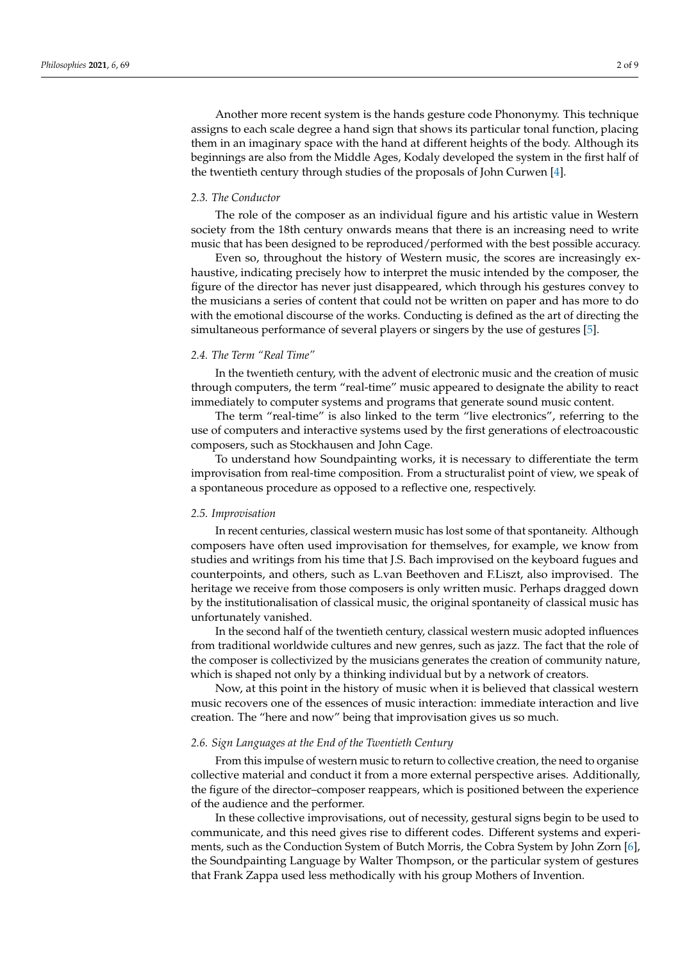Another more recent system is the hands gesture code Phononymy. This technique assigns to each scale degree a hand sign that shows its particular tonal function, placing them in an imaginary space with the hand at different heights of the body. Although its beginnings are also from the Middle Ages, Kodaly developed the system in the first half of the twentieth century through studies of the proposals of John Curwen [\[4\]](#page-8-3).

## *2.3. The Conductor*

The role of the composer as an individual figure and his artistic value in Western society from the 18th century onwards means that there is an increasing need to write music that has been designed to be reproduced/performed with the best possible accuracy.

Even so, throughout the history of Western music, the scores are increasingly exhaustive, indicating precisely how to interpret the music intended by the composer, the figure of the director has never just disappeared, which through his gestures convey to the musicians a series of content that could not be written on paper and has more to do with the emotional discourse of the works. Conducting is defined as the art of directing the simultaneous performance of several players or singers by the use of gestures [\[5\]](#page-8-4).

# *2.4. The Term "Real Time"*

In the twentieth century, with the advent of electronic music and the creation of music through computers, the term "real-time" music appeared to designate the ability to react immediately to computer systems and programs that generate sound music content.

The term "real-time" is also linked to the term "live electronics", referring to the use of computers and interactive systems used by the first generations of electroacoustic composers, such as Stockhausen and John Cage.

To understand how Soundpainting works, it is necessary to differentiate the term improvisation from real-time composition. From a structuralist point of view, we speak of a spontaneous procedure as opposed to a reflective one, respectively.

#### *2.5. Improvisation*

In recent centuries, classical western music has lost some of that spontaneity. Although composers have often used improvisation for themselves, for example, we know from studies and writings from his time that J.S. Bach improvised on the keyboard fugues and counterpoints, and others, such as L.van Beethoven and F.Liszt, also improvised. The heritage we receive from those composers is only written music. Perhaps dragged down by the institutionalisation of classical music, the original spontaneity of classical music has unfortunately vanished.

In the second half of the twentieth century, classical western music adopted influences from traditional worldwide cultures and new genres, such as jazz. The fact that the role of the composer is collectivized by the musicians generates the creation of community nature, which is shaped not only by a thinking individual but by a network of creators.

Now, at this point in the history of music when it is believed that classical western music recovers one of the essences of music interaction: immediate interaction and live creation. The "here and now" being that improvisation gives us so much.

## *2.6. Sign Languages at the End of the Twentieth Century*

From this impulse of western music to return to collective creation, the need to organise collective material and conduct it from a more external perspective arises. Additionally, the figure of the director–composer reappears, which is positioned between the experience of the audience and the performer.

In these collective improvisations, out of necessity, gestural signs begin to be used to communicate, and this need gives rise to different codes. Different systems and experiments, such as the Conduction System of Butch Morris, the Cobra System by John Zorn [\[6\]](#page-8-5), the Soundpainting Language by Walter Thompson, or the particular system of gestures that Frank Zappa used less methodically with his group Mothers of Invention.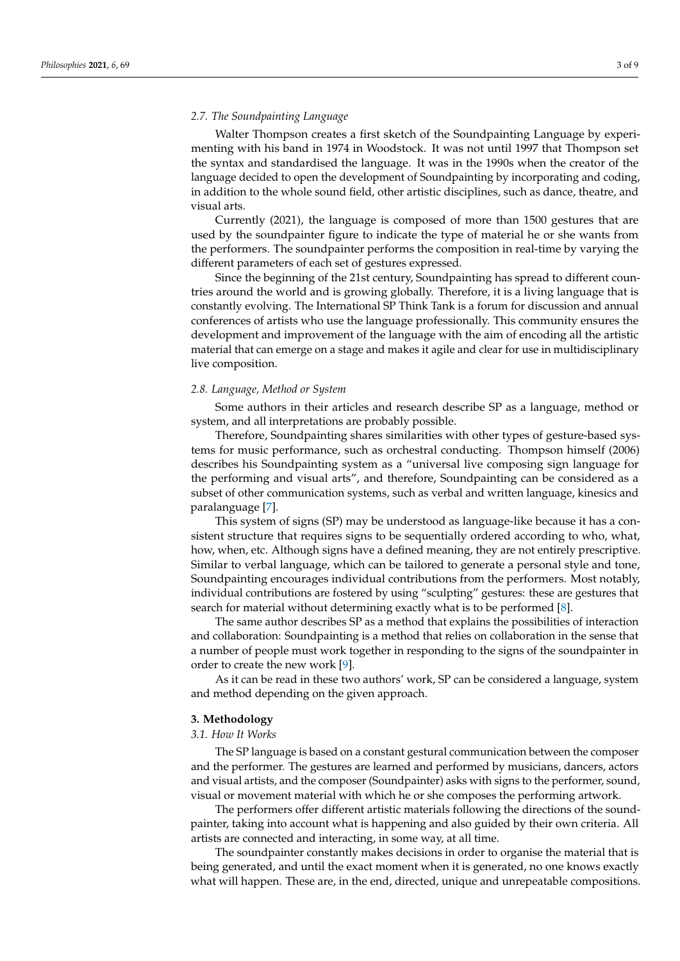# *2.7. The Soundpainting Language*

Walter Thompson creates a first sketch of the Soundpainting Language by experimenting with his band in 1974 in Woodstock. It was not until 1997 that Thompson set the syntax and standardised the language. It was in the 1990s when the creator of the language decided to open the development of Soundpainting by incorporating and coding, in addition to the whole sound field, other artistic disciplines, such as dance, theatre, and visual arts.

Currently (2021), the language is composed of more than 1500 gestures that are used by the soundpainter figure to indicate the type of material he or she wants from the performers. The soundpainter performs the composition in real-time by varying the different parameters of each set of gestures expressed.

Since the beginning of the 21st century, Soundpainting has spread to different countries around the world and is growing globally. Therefore, it is a living language that is constantly evolving. The International SP Think Tank is a forum for discussion and annual conferences of artists who use the language professionally. This community ensures the development and improvement of the language with the aim of encoding all the artistic material that can emerge on a stage and makes it agile and clear for use in multidisciplinary live composition.

#### *2.8. Language, Method or System*

Some authors in their articles and research describe SP as a language, method or system, and all interpretations are probably possible.

Therefore, Soundpainting shares similarities with other types of gesture-based systems for music performance, such as orchestral conducting. Thompson himself (2006) describes his Soundpainting system as a "universal live composing sign language for the performing and visual arts", and therefore, Soundpainting can be considered as a subset of other communication systems, such as verbal and written language, kinesics and paralanguage [\[7\]](#page-8-6).

This system of signs (SP) may be understood as language-like because it has a consistent structure that requires signs to be sequentially ordered according to who, what, how, when, etc. Although signs have a defined meaning, they are not entirely prescriptive. Similar to verbal language, which can be tailored to generate a personal style and tone, Soundpainting encourages individual contributions from the performers. Most notably, individual contributions are fostered by using "sculpting" gestures: these are gestures that search for material without determining exactly what is to be performed [\[8\]](#page-8-7).

The same author describes SP as a method that explains the possibilities of interaction and collaboration: Soundpainting is a method that relies on collaboration in the sense that a number of people must work together in responding to the signs of the soundpainter in order to create the new work [\[9\]](#page-8-8).

As it can be read in these two authors' work, SP can be considered a language, system and method depending on the given approach.

#### **3. Methodology**

#### *3.1. How It Works*

The SP language is based on a constant gestural communication between the composer and the performer. The gestures are learned and performed by musicians, dancers, actors and visual artists, and the composer (Soundpainter) asks with signs to the performer, sound, visual or movement material with which he or she composes the performing artwork.

The performers offer different artistic materials following the directions of the soundpainter, taking into account what is happening and also guided by their own criteria. All artists are connected and interacting, in some way, at all time.

The soundpainter constantly makes decisions in order to organise the material that is being generated, and until the exact moment when it is generated, no one knows exactly what will happen. These are, in the end, directed, unique and unrepeatable compositions.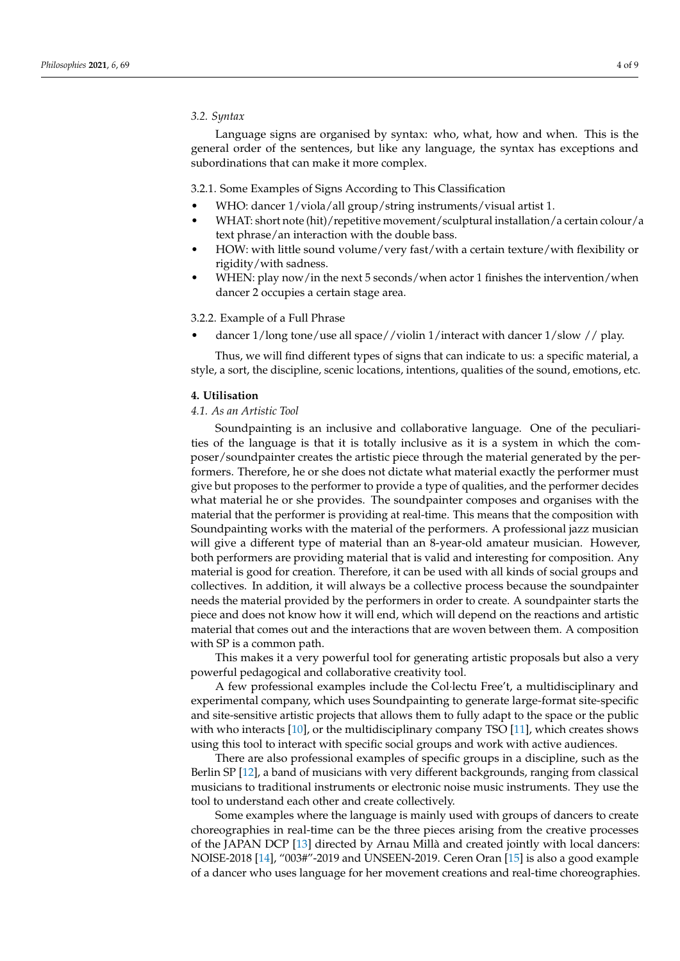## *3.2. Syntax*

Language signs are organised by syntax: who, what, how and when. This is the general order of the sentences, but like any language, the syntax has exceptions and subordinations that can make it more complex.

#### 3.2.1. Some Examples of Signs According to This Classification

- WHO: dancer 1/viola/all group/string instruments/visual artist 1.
- WHAT: short note (hit)/repetitive movement/sculptural installation/a certain colour/a text phrase/an interaction with the double bass.
- HOW: with little sound volume/very fast/with a certain texture/with flexibility or rigidity/with sadness.
- WHEN: play now/in the next 5 seconds/when actor 1 finishes the intervention/when dancer 2 occupies a certain stage area.

## 3.2.2. Example of a Full Phrase

• dancer 1/long tone/use all space//violin 1/interact with dancer 1/slow // play.

Thus, we will find different types of signs that can indicate to us: a specific material, a style, a sort, the discipline, scenic locations, intentions, qualities of the sound, emotions, etc.

#### **4. Utilisation**

#### *4.1. As an Artistic Tool*

Soundpainting is an inclusive and collaborative language. One of the peculiarities of the language is that it is totally inclusive as it is a system in which the composer/soundpainter creates the artistic piece through the material generated by the performers. Therefore, he or she does not dictate what material exactly the performer must give but proposes to the performer to provide a type of qualities, and the performer decides what material he or she provides. The soundpainter composes and organises with the material that the performer is providing at real-time. This means that the composition with Soundpainting works with the material of the performers. A professional jazz musician will give a different type of material than an 8-year-old amateur musician. However, both performers are providing material that is valid and interesting for composition. Any material is good for creation. Therefore, it can be used with all kinds of social groups and collectives. In addition, it will always be a collective process because the soundpainter needs the material provided by the performers in order to create. A soundpainter starts the piece and does not know how it will end, which will depend on the reactions and artistic material that comes out and the interactions that are woven between them. A composition with SP is a common path.

This makes it a very powerful tool for generating artistic proposals but also a very powerful pedagogical and collaborative creativity tool.

A few professional examples include the Col·lectu Free't, a multidisciplinary and experimental company, which uses Soundpainting to generate large-format site-specific and site-sensitive artistic projects that allows them to fully adapt to the space or the public with who interacts [\[10\]](#page-8-9), or the multidisciplinary company TSO [\[11\]](#page-8-10), which creates shows using this tool to interact with specific social groups and work with active audiences.

There are also professional examples of specific groups in a discipline, such as the Berlin SP [\[12\]](#page-8-11), a band of musicians with very different backgrounds, ranging from classical musicians to traditional instruments or electronic noise music instruments. They use the tool to understand each other and create collectively.

Some examples where the language is mainly used with groups of dancers to create choreographies in real-time can be the three pieces arising from the creative processes of the JAPAN DCP [\[13\]](#page-8-12) directed by Arnau Millà and created jointly with local dancers: NOISE-2018 [\[14\]](#page-8-13), "003#"-2019 and UNSEEN-2019. Ceren Oran [\[15\]](#page-8-14) is also a good example of a dancer who uses language for her movement creations and real-time choreographies.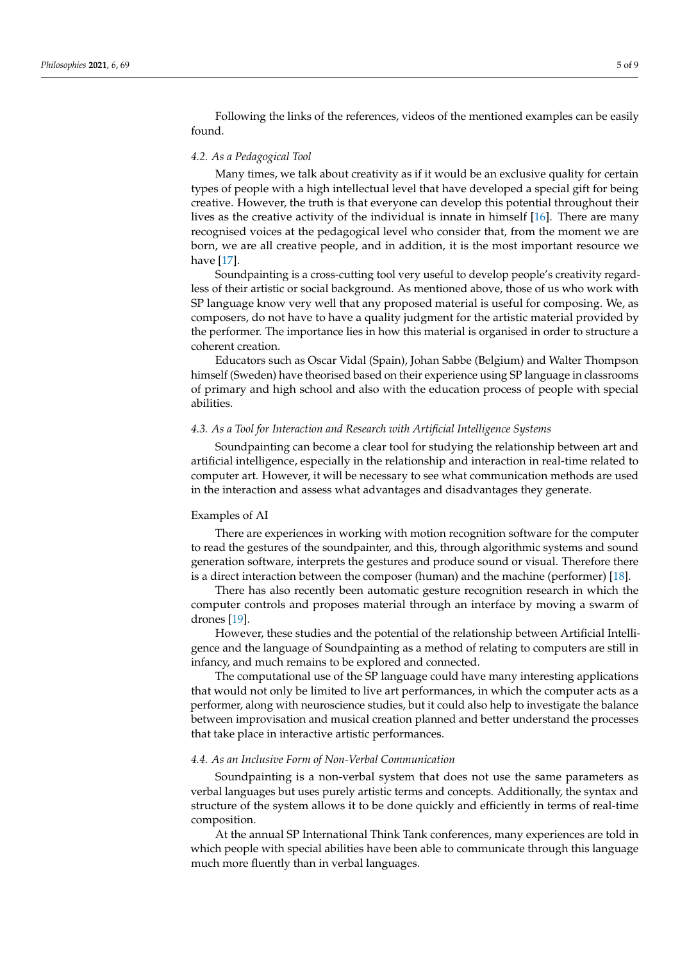Following the links of the references, videos of the mentioned examples can be easily found.

#### *4.2. As a Pedagogical Tool*

Many times, we talk about creativity as if it would be an exclusive quality for certain types of people with a high intellectual level that have developed a special gift for being creative. However, the truth is that everyone can develop this potential throughout their lives as the creative activity of the individual is innate in himself [\[16\]](#page-8-15). There are many recognised voices at the pedagogical level who consider that, from the moment we are born, we are all creative people, and in addition, it is the most important resource we have [\[17\]](#page-8-16).

Soundpainting is a cross-cutting tool very useful to develop people's creativity regardless of their artistic or social background. As mentioned above, those of us who work with SP language know very well that any proposed material is useful for composing. We, as composers, do not have to have a quality judgment for the artistic material provided by the performer. The importance lies in how this material is organised in order to structure a coherent creation.

Educators such as Oscar Vidal (Spain), Johan Sabbe (Belgium) and Walter Thompson himself (Sweden) have theorised based on their experience using SP language in classrooms of primary and high school and also with the education process of people with special abilities.

## *4.3. As a Tool for Interaction and Research with Artificial Intelligence Systems*

Soundpainting can become a clear tool for studying the relationship between art and artificial intelligence, especially in the relationship and interaction in real-time related to computer art. However, it will be necessary to see what communication methods are used in the interaction and assess what advantages and disadvantages they generate.

## Examples of AI

There are experiences in working with motion recognition software for the computer to read the gestures of the soundpainter, and this, through algorithmic systems and sound generation software, interprets the gestures and produce sound or visual. Therefore there is a direct interaction between the composer (human) and the machine (performer) [\[18\]](#page-8-17).

There has also recently been automatic gesture recognition research in which the computer controls and proposes material through an interface by moving a swarm of drones [\[19\]](#page-8-18).

However, these studies and the potential of the relationship between Artificial Intelligence and the language of Soundpainting as a method of relating to computers are still in infancy, and much remains to be explored and connected.

The computational use of the SP language could have many interesting applications that would not only be limited to live art performances, in which the computer acts as a performer, along with neuroscience studies, but it could also help to investigate the balance between improvisation and musical creation planned and better understand the processes that take place in interactive artistic performances.

### *4.4. As an Inclusive Form of Non-Verbal Communication*

Soundpainting is a non-verbal system that does not use the same parameters as verbal languages but uses purely artistic terms and concepts. Additionally, the syntax and structure of the system allows it to be done quickly and efficiently in terms of real-time composition.

At the annual SP International Think Tank conferences, many experiences are told in which people with special abilities have been able to communicate through this language much more fluently than in verbal languages.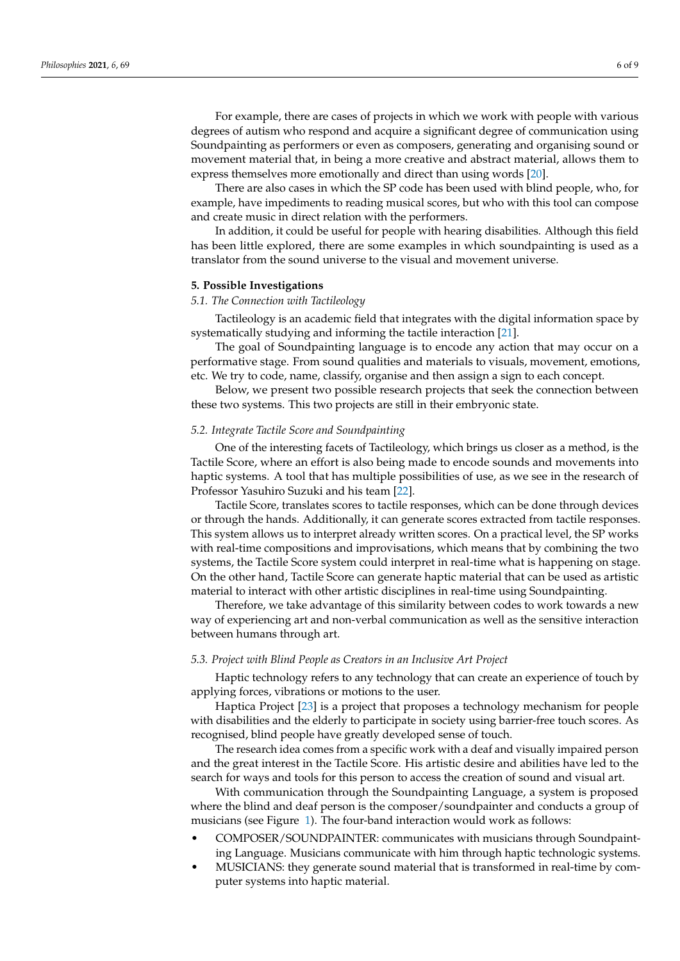For example, there are cases of projects in which we work with people with various degrees of autism who respond and acquire a significant degree of communication using Soundpainting as performers or even as composers, generating and organising sound or movement material that, in being a more creative and abstract material, allows them to express themselves more emotionally and direct than using words [\[20\]](#page-8-19).

There are also cases in which the SP code has been used with blind people, who, for example, have impediments to reading musical scores, but who with this tool can compose and create music in direct relation with the performers.

In addition, it could be useful for people with hearing disabilities. Although this field has been little explored, there are some examples in which soundpainting is used as a translator from the sound universe to the visual and movement universe.

#### **5. Possible Investigations**

# *5.1. The Connection with Tactileology*

Tactileology is an academic field that integrates with the digital information space by systematically studying and informing the tactile interaction [\[21\]](#page-8-20).

The goal of Soundpainting language is to encode any action that may occur on a performative stage. From sound qualities and materials to visuals, movement, emotions, etc. We try to code, name, classify, organise and then assign a sign to each concept.

Below, we present two possible research projects that seek the connection between these two systems. This two projects are still in their embryonic state.

## *5.2. Integrate Tactile Score and Soundpainting*

One of the interesting facets of Tactileology, which brings us closer as a method, is the Tactile Score, where an effort is also being made to encode sounds and movements into haptic systems. A tool that has multiple possibilities of use, as we see in the research of Professor Yasuhiro Suzuki and his team [\[22\]](#page-8-21).

Tactile Score, translates scores to tactile responses, which can be done through devices or through the hands. Additionally, it can generate scores extracted from tactile responses. This system allows us to interpret already written scores. On a practical level, the SP works with real-time compositions and improvisations, which means that by combining the two systems, the Tactile Score system could interpret in real-time what is happening on stage. On the other hand, Tactile Score can generate haptic material that can be used as artistic material to interact with other artistic disciplines in real-time using Soundpainting.

Therefore, we take advantage of this similarity between codes to work towards a new way of experiencing art and non-verbal communication as well as the sensitive interaction between humans through art.

# *5.3. Project with Blind People as Creators in an Inclusive Art Project*

Haptic technology refers to any technology that can create an experience of touch by applying forces, vibrations or motions to the user.

Haptica Project [\[23\]](#page-8-22) is a project that proposes a technology mechanism for people with disabilities and the elderly to participate in society using barrier-free touch scores. As recognised, blind people have greatly developed sense of touch.

The research idea comes from a specific work with a deaf and visually impaired person and the great interest in the Tactile Score. His artistic desire and abilities have led to the search for ways and tools for this person to access the creation of sound and visual art.

With communication through the Soundpainting Language, a system is proposed where the blind and deaf person is the composer/soundpainter and conducts a group of musicians (see Figure [1\)](#page-6-0). The four-band interaction would work as follows:

- COMPOSER/SOUNDPAINTER: communicates with musicians through Soundpainting Language. Musicians communicate with him through haptic technologic systems.
- MUSICIANS: they generate sound material that is transformed in real-time by computer systems into haptic material.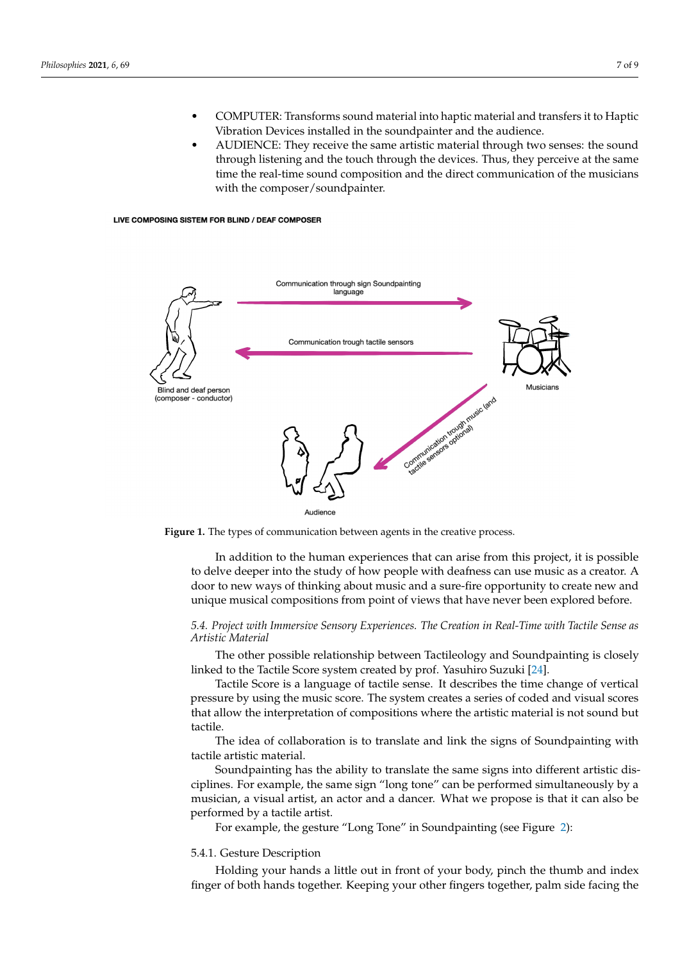- COMPUTER: Transforms sound material into haptic material and transfers it to Haptic Vibration Devices installed in the soundpainter and the audience.
- AUDIENCE: They receive the same artistic material through two senses: the sound through listening and the touch through the devices. Thus, they perceive at the same time the real-time sound composition and the direct communication of the musicians with the composer/soundpainter.

#### <span id="page-6-0"></span>LIVE COMPOSING SISTEM FOR BLIND / DEAF COMPOSER



**Figure 1.** The types of communication between agents in the creative process.

In addition to the human experiences that can arise from this project, it is possible to delve deeper into the study of how people with deafness can use music as a creator. A door to new ways of thinking about music and a sure-fire opportunity to create new and unique musical compositions from point of views that have never been explored before.

## *5.4. Project with Immersive Sensory Experiences. The Creation in Real-Time with Tactile Sense as Artistic Material*

The other possible relationship between Tactileology and Soundpainting is closely linked to the Tactile Score system created by prof. Yasuhiro Suzuki [\[24\]](#page-8-23).

Tactile Score is a language of tactile sense. It describes the time change of vertical pressure by using the music score. The system creates a series of coded and visual scores that allow the interpretation of compositions where the artistic material is not sound but tactile.

The idea of collaboration is to translate and link the signs of Soundpainting with tactile artistic material.

Soundpainting has the ability to translate the same signs into different artistic disciplines. For example, the same sign "long tone" can be performed simultaneously by a musician, a visual artist, an actor and a dancer. What we propose is that it can also be performed by a tactile artist.

For example, the gesture "Long Tone" in Soundpainting (see Figure [2\)](#page-7-0):

## 5.4.1. Gesture Description

Holding your hands a little out in front of your body, pinch the thumb and index finger of both hands together. Keeping your other fingers together, palm side facing the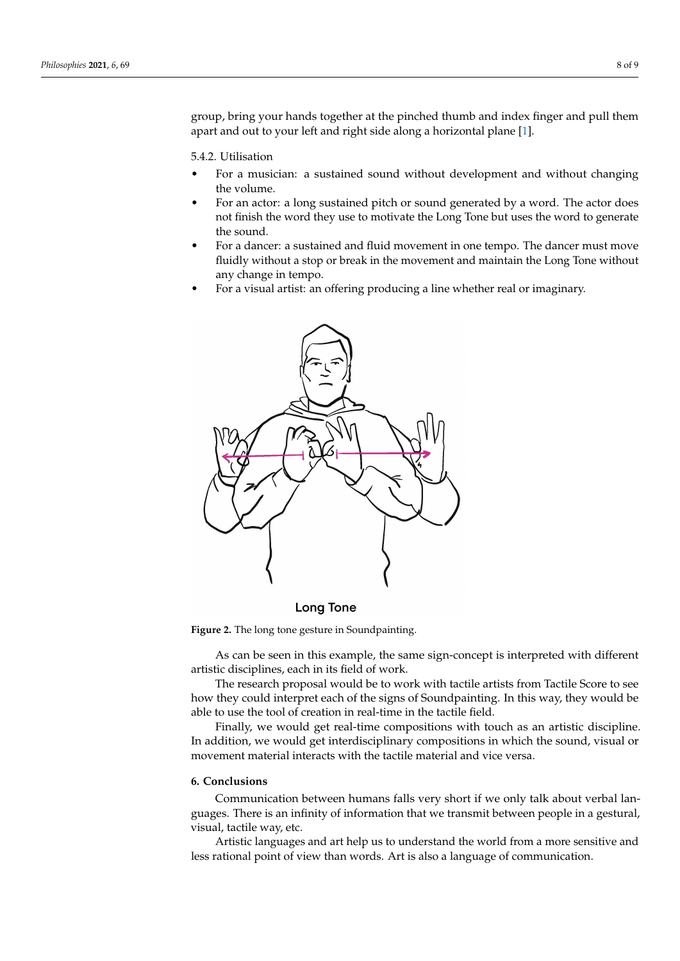group, bring your hands together at the pinched thumb and index finger and pull them apart and out to your left and right side along a horizontal plane [\[1\]](#page-8-0).

5.4.2. Utilisation

- For a musician: a sustained sound without development and without changing the volume.
- For an actor: a long sustained pitch or sound generated by a word. The actor does not finish the word they use to motivate the Long Tone but uses the word to generate the sound.
- For a dancer: a sustained and fluid movement in one tempo. The dancer must move fluidly without a stop or break in the movement and maintain the Long Tone without any change in tempo.
- For a visual artist: an offering producing a line whether real or imaginary.

<span id="page-7-0"></span>

**Long Tone** 

**Figure 2.** The long tone gesture in Soundpainting.

As can be seen in this example, the same sign-concept is interpreted with different artistic disciplines, each in its field of work.

The research proposal would be to work with tactile artists from Tactile Score to see how they could interpret each of the signs of Soundpainting. In this way, they would be able to use the tool of creation in real-time in the tactile field.

Finally, we would get real-time compositions with touch as an artistic discipline. In addition, we would get interdisciplinary compositions in which the sound, visual or movement material interacts with the tactile material and vice versa.

## **6. Conclusions**

Communication between humans falls very short if we only talk about verbal languages. There is an infinity of information that we transmit between people in a gestural, visual, tactile way, etc.

Artistic languages and art help us to understand the world from a more sensitive and less rational point of view than words. Art is also a language of communication.